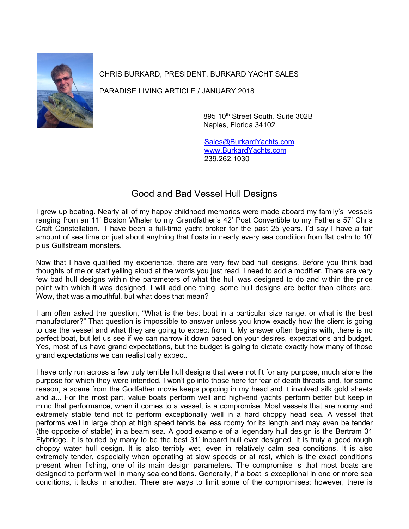

CHRIS BURKARD, PRESIDENT, BURKARD YACHT SALES

PARADISE LIVING ARTICLE / JANUARY 2018

895 10th Street South. Suite 302B Naples, Florida 34102

[Sales@BurkardYachts.com](mailto:Sales@BurkardYachts.com) [www.BurkardYachts.com](http://www.burkardyachts.com/) 239.262.1030

## Good and Bad Vessel Hull Designs

I grew up boating. Nearly all of my happy childhood memories were made aboard my family's vessels ranging from an 11' Boston Whaler to my Grandfather's 42' Post Convertible to my Father's 57' Chris Craft Constellation. I have been a full-time yacht broker for the past 25 years. I'd say I have a fair amount of sea time on just about anything that floats in nearly every sea condition from flat calm to 10' plus Gulfstream monsters.

Now that I have qualified my experience, there are very few bad hull designs. Before you think bad thoughts of me or start yelling aloud at the words you just read, I need to add a modifier. There are very few bad hull designs within the parameters of what the hull was designed to do and within the price point with which it was designed. I will add one thing, some hull designs are better than others are. Wow, that was a mouthful, but what does that mean?

I am often asked the question, "What is the best boat in a particular size range, or what is the best manufacturer?" That question is impossible to answer unless you know exactly how the client is going to use the vessel and what they are going to expect from it. My answer often begins with, there is no perfect boat, but let us see if we can narrow it down based on your desires, expectations and budget. Yes, most of us have grand expectations, but the budget is going to dictate exactly how many of those grand expectations we can realistically expect.

I have only run across a few truly terrible hull designs that were not fit for any purpose, much alone the purpose for which they were intended. I won't go into those here for fear of death threats and, for some reason, a scene from the Godfather movie keeps popping in my head and it involved silk gold sheets and a... For the most part, value boats perform well and high-end yachts perform better but keep in mind that performance, when it comes to a vessel, is a compromise. Most vessels that are roomy and extremely stable tend not to perform exceptionally well in a hard choppy head sea. A vessel that performs well in large chop at high speed tends be less roomy for its length and may even be tender (the opposite of stable) in a beam sea. A good example of a legendary hull design is the Bertram 31 Flybridge. It is touted by many to be the best 31' inboard hull ever designed. It is truly a good rough choppy water hull design. It is also terribly wet, even in relatively calm sea conditions. It is also extremely tender, especially when operating at slow speeds or at rest, which is the exact conditions present when fishing, one of its main design parameters. The compromise is that most boats are designed to perform well in many sea conditions. Generally, if a boat is exceptional in one or more sea conditions, it lacks in another. There are ways to limit some of the compromises; however, there is